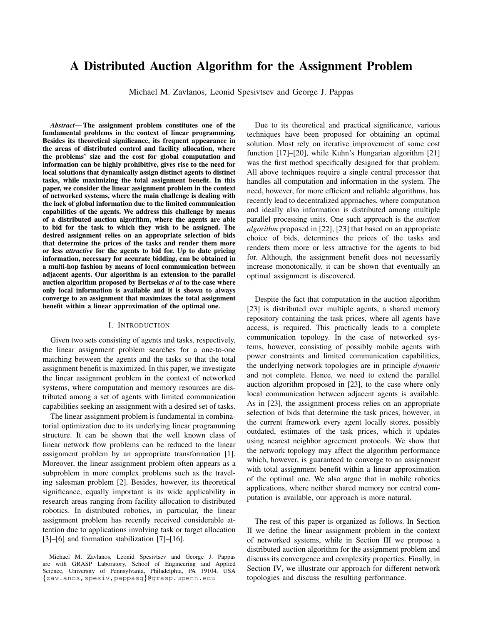# A Distributed Auction Algorithm for the Assignment Problem

Michael M. Zavlanos, Leonid Spesivtsev and George J. Pappas

*Abstract*— The assignment problem constitutes one of the fundamental problems in the context of linear programming. Besides its theoretical significance, its frequent appearance in the areas of distributed control and facility allocation, where the problems' size and the cost for global computation and information can be highly prohibitive, gives rise to the need for local solutions that dynamically assign distinct agents to distinct tasks, while maximizing the total assignment benefit. In this paper, we consider the linear assignment problem in the context of networked systems, where the main challenge is dealing with the lack of global information due to the limited communication capabilities of the agents. We address this challenge by means of a distributed auction algorithm, where the agents are able to bid for the task to which they wish to be assigned. The desired assignment relies on an appropriate selection of bids that determine the prices of the tasks and render them more or less *attractive* for the agents to bid for. Up to date pricing information, necessary for accurate bidding, can be obtained in a multi-hop fashion by means of local communication between adjacent agents. Our algorithm is an extension to the parallel auction algorithm proposed by Bertsekas *et al* to the case where only local information is available and it is shown to always converge to an assignment that maximizes the total assignment benefit within a linear approximation of the optimal one.

## I. INTRODUCTION

Given two sets consisting of agents and tasks, respectively, the linear assignment problem searches for a one-to-one matching between the agents and the tasks so that the total assignment benefit is maximized. In this paper, we investigate the linear assignment problem in the context of networked systems, where computation and memory resources are distributed among a set of agents with limited communication capabilities seeking an assignment with a desired set of tasks.

The linear assignment problem is fundamental in combinatorial optimization due to its underlying linear programming structure. It can be shown that the well known class of linear network flow problems can be reduced to the linear assignment problem by an appropriate transformation [1]. Moreover, the linear assignment problem often appears as a subproblem in more complex problems such as the traveling salesman problem [2]. Besides, however, its theoretical significance, equally important is its wide applicability in research areas ranging from facility allocation to distributed robotics. In distributed robotics, in particular, the linear assignment problem has recently received considerable attention due to applications involving task or target allocation [3]–[6] and formation stabilization [7]–[16].

Due to its theoretical and practical significance, various techniques have been proposed for obtaining an optimal solution. Most rely on iterative improvement of some cost function [17]–[20], while Kuhn's Hungarian algorithm [21] was the first method specifically designed for that problem. All above techniques require a single central processor that handles all computation and information in the system. The need, however, for more efficient and reliable algorithms, has recently lead to decentralized approaches, where computation and ideally also information is distributed among multiple parallel processing units. One such approach is the *auction algorithm* proposed in [22], [23] that based on an appropriate choice of bids, determines the prices of the tasks and renders them more or less attractive for the agents to bid for. Although, the assignment benefit does not necessarily increase monotonically, it can be shown that eventually an optimal assignment is discovered.

Despite the fact that computation in the auction algorithm [23] is distributed over multiple agents, a shared memory repository containing the task prices, where all agents have access, is required. This practically leads to a complete communication topology. In the case of networked systems, however, consisting of possibly mobile agents with power constraints and limited communication capabilities, the underlying network topologies are in principle *dynamic* and not complete. Hence, we need to extend the parallel auction algorithm proposed in [23], to the case where only local communication between adjacent agents is available. As in [23], the assignment process relies on an appropriate selection of bids that determine the task prices, however, in the current framework every agent locally stores, possibly outdated, estimates of the task prices, which it updates using nearest neighbor agreement protocols. We show that the network topology may affect the algorithm performance which, however, is guaranteed to converge to an assignment with total assignment benefit within a linear approximation of the optimal one. We also argue that in mobile robotics applications, where neither shared memory nor central computation is available, our approach is more natural.

The rest of this paper is organized as follows. In Section II we define the linear assignment problem in the context of networked systems, while in Section III we propose a distributed auction algorithm for the assignment problem and discuss its convergence and complexity properties. Finally, in Section IV, we illustrate our approach for different network topologies and discuss the resulting performance.

Michael M. Zavlanos, Leonid Spesivtsev and George J. Pappas are with GRASP Laboratory, School of Engineering and Applied Science, University of Pennsylvania, Philadelphia, PA 19104, USA {zavlanos,spesiv,pappasg}@grasp.upenn.edu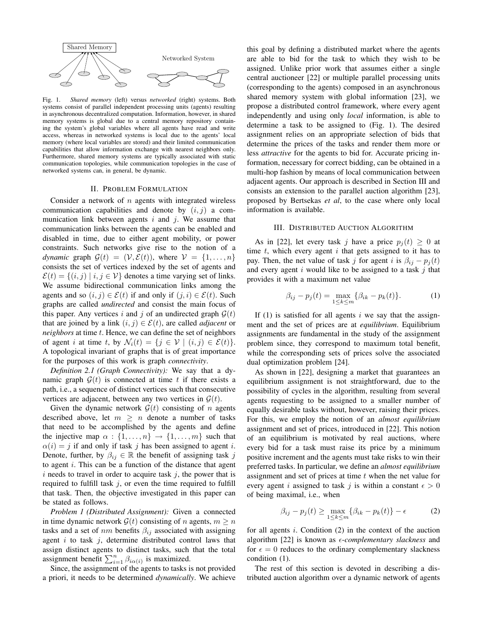

Fig. 1. *Shared memory* (left) versus *networked* (right) systems. Both systems consist of parallel independent processing units (agents) resulting in asynchronous decentralized computation. Information, however, in shared memory systems is global due to a central memory repository containing the system's global variables where all agents have read and write access, whereas in networked systems is local due to the agents' local memory (where local variables are stored) and their limited communication capabilities that allow information exchange with nearest neighbors only. Furthermore, shared memory systems are typically associated with static communication topologies, while communication topologies in the case of networked systems can, in general, be dynamic.

#### II. PROBLEM FORMULATION

Consider a network of  $n$  agents with integrated wireless communication capabilities and denote by  $(i, j)$  a communication link between agents  $i$  and  $j$ . We assume that communication links between the agents can be enabled and disabled in time, due to either agent mobility, or power constraints. Such networks give rise to the notion of a *dynamic* graph  $\mathcal{G}(t) = (\mathcal{V}, \mathcal{E}(t))$ , where  $\mathcal{V} = \{1, \ldots, n\}$ consists the set of vertices indexed by the set of agents and  $\mathcal{E}(t) = \{(i, j) | i, j \in \mathcal{V}\}\$ denotes a time varying set of links. We assume bidirectional communication links among the agents and so  $(i, j) \in \mathcal{E}(t)$  if and only if  $(j, i) \in \mathcal{E}(t)$ . Such graphs are called *undirected* and consist the main focus of this paper. Any vertices i and j of an undirected graph  $\mathcal{G}(t)$ that are joined by a link  $(i, j) \in \mathcal{E}(t)$ , are called *adjacent* or *neighbors* at time t. Hence, we can define the set of neighbors of agent i at time t, by  $\mathcal{N}_i(t) = \{j \in \mathcal{V} \mid (i,j) \in \mathcal{E}(t)\}.$ A topological invariant of graphs that is of great importance for the purposes of this work is graph *connectivity*.

*Definition 2.1 (Graph Connectivity):* We say that a dynamic graph  $G(t)$  is connected at time t if there exists a path, i.e., a sequence of distinct vertices such that consecutive vertices are adjacent, between any two vertices in  $\mathcal{G}(t)$ .

Given the dynamic network  $G(t)$  consisting of n agents described above, let  $m \geq n$  denote a number of tasks that need to be accomplished by the agents and define the injective map  $\alpha : \{1, \ldots, n\} \rightarrow \{1, \ldots, m\}$  such that  $\alpha(i) = j$  if and only if task j has been assigned to agent i. Denote, further, by  $\beta_{ij} \in \mathbb{R}$  the benefit of assigning task j to agent  $i$ . This can be a function of the distance that agent  $i$  needs to travel in order to acquire task  $j$ , the power that is required to fulfill task  $j$ , or even the time required to fulfill that task. Then, the objective investigated in this paper can be stated as follows.

*Problem 1 (Distributed Assignment):* Given a connected in time dynamic network  $\mathcal{G}(t)$  consisting of n agents,  $m \geq n$ tasks and a set of  $nm$  benefits  $\beta_{ij}$  associated with assigning agent  $i$  to task  $j$ , determine distributed control laws that assign distinct agents to distinct tasks, such that the total assign distinct agents to distinct tasks, such assignment benefit  $\sum_{i=1}^{n} \beta_{i\alpha(i)}$  is maximized.

Since, the assignment of the agents to tasks is not provided a priori, it needs to be determined *dynamically*. We achieve this goal by defining a distributed market where the agents are able to bid for the task to which they wish to be assigned. Unlike prior work that assumes either a single central auctioneer [22] or multiple parallel processing units (corresponding to the agents) composed in an asynchronous shared memory system with global information [23], we propose a distributed control framework, where every agent independently and using only *local* information, is able to determine a task to be assigned to (Fig. 1). The desired assignment relies on an appropriate selection of bids that determine the prices of the tasks and render them more or less *attractive* for the agents to bid for. Accurate pricing information, necessary for correct bidding, can be obtained in a multi-hop fashion by means of local communication between adjacent agents. Our approach is described in Section III and consists an extension to the parallel auction algorithm [23], proposed by Bertsekas *et al*, to the case where only local information is available.

#### III. DISTRIBUTED AUCTION ALGORITHM

As in [22], let every task j have a price  $p_j(t) \geq 0$  at time  $t$ , which every agent  $i$  that gets assigned to it has to pay. Then, the net value of task j for agent i is  $\beta_{ij} - p_j(t)$ and every agent  $i$  would like to be assigned to a task  $j$  that provides it with a maximum net value

$$
\beta_{ij} - p_j(t) = \max_{1 \le k \le m} \{ \beta_{ik} - p_k(t) \}.
$$
 (1)

If  $(1)$  is satisfied for all agents i we say that the assignment and the set of prices are at *equilibrium*. Equilibrium assignments are fundamental in the study of the assignment problem since, they correspond to maximum total benefit, while the corresponding sets of prices solve the associated dual optimization problem [24].

As shown in [22], designing a market that guarantees an equilibrium assignment is not straightforward, due to the possibility of cycles in the algorithm, resulting from several agents requesting to be assigned to a smaller number of equally desirable tasks without, however, raising their prices. For this, we employ the notion of an *almost equilibrium* assignment and set of prices, introduced in [22]. This notion of an equilibrium is motivated by real auctions, where every bid for a task must raise its price by a minimum positive increment and the agents must take risks to win their preferred tasks. In particular, we define an *almost equilibrium* assignment and set of prices at time  $t$  when the net value for every agent i assigned to task j is within a constant  $\epsilon > 0$ of being maximal, i.e., when

$$
\beta_{ij} - p_j(t) \ge \max_{1 \le k \le m} \{ \beta_{ik} - p_k(t) \} - \epsilon \tag{2}
$$

for all agents  $i$ . Condition  $(2)$  in the context of the auction algorithm  $[22]$  is known as  $\epsilon$ -*complementary slackness* and for  $\epsilon = 0$  reduces to the ordinary complementary slackness condition (1).

The rest of this section is devoted in describing a distributed auction algorithm over a dynamic network of agents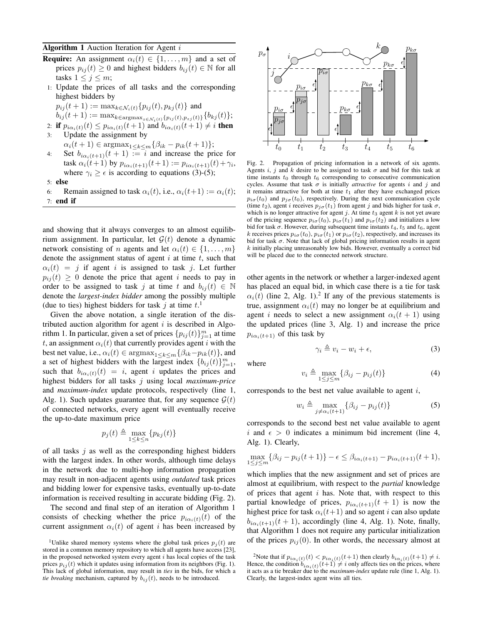#### **Algorithm 1** Auction Iteration for Agent  $i$

- **Require:** An assignment  $\alpha_i(t) \in \{1, \ldots, m\}$  and a set of prices  $p_{ij}(t) \geq 0$  and highest bidders  $b_{ij}(t) \in \mathbb{N}$  for all tasks  $1 \leq j \leq m$ ;
- 1: Update the prices of all tasks and the corresponding highest bidders by
	- $p_{ij}(t + 1) := \max_{k \in \mathcal{N}_i(t)} \{p_{ij}(t), p_{kj}(t)\}\$ and
- $b_{ij}(t+1) := \max_{k \in \text{argmax}_{z \in \mathcal{N}_i(t)} \{p_{ij}(t), p_{zj}(t)\}} \{b_{kj}(t)\};$ 2: if  $p_{i\alpha_i(t)}(t) \leq p_{i\alpha_i(t)}(t+1)$  and  $b_{i\alpha_i(t)}(t+1) \neq i$  then
- 3: Update the assignment by  $\alpha_i(t + 1) \in \text{argmax}_{1 \leq k \leq m} \{ \beta_{ik} - p_{ik}(t + 1) \};$
- 4: Set  $b_{i\alpha_i(t+1)}(t+1) := i$  and increase the price for task  $\alpha_i(t+1)$  by  $p_{i\alpha_i(t+1)}(t+1) := p_{i\alpha_i(t+1)}(t) + \gamma_i$ , where  $\gamma_i \geq \epsilon$  is according to equations (3)-(5); 5: else
- 6: Remain assigned to task  $\alpha_i(t)$ , i.e.,  $\alpha_i(t+1) := \alpha_i(t)$ ; 7: end if

and showing that it always converges to an almost equilibrium assignment. In particular, let  $G(t)$  denote a dynamic network consisting of n agents and let  $\alpha_i(t) \in \{1, \ldots, m\}$ denote the assignment status of agent  $i$  at time  $t$ , such that  $\alpha_i(t) = j$  if agent i is assigned to task j. Let further  $p_{ij}(t) \geq 0$  denote the price that agent i needs to pay in order to be assigned to task j at time t and  $b_{ij}(t) \in \mathbb{N}$ denote the *largest-index bidder* among the possibly multiple (due to ties) highest bidders for task  $j$  at time  $t$ <sup>1</sup>.

Given the above notation, a single iteration of the distributed auction algorithm for agent  $i$  is described in Algorithm 1. In particular, given a set of prices  $\{p_{ij}(t)\}_{j=1}^m$  at time t, an assignment  $\alpha_i(t)$  that currently provides agent i with the best net value, i.e.,  $\alpha_i(t) \in \text{argmax}_{1 \leq k \leq m} \{ \beta_{ik} - p_{ik}(t) \}$ , and a set of highest bidders with the largest index  ${b_{ij}(t)}_{j=1}^m$ , such that  $b_{i\alpha_i(t)}(t) = i$ , agent i updates the prices and highest bidders for all tasks j using local *maximum-price* and *maximum-index* update protocols, respectively (line 1, Alg. 1). Such updates guarantee that, for any sequence  $\mathcal{G}(t)$ of connected networks, every agent will eventually receive the up-to-date maximum price

$$
p_j(t) \triangleq \max_{1 \le k \le n} \{ p_{kj}(t) \}
$$

of all tasks  $j$  as well as the corresponding highest bidders with the largest index. In other words, although time delays in the network due to multi-hop information propagation may result in non-adjacent agents using *outdated* task prices and bidding lower for expensive tasks, eventually up-to-date information is received resulting in accurate bidding (Fig. 2).

The second and final step of an iteration of Algorithm 1 consists of checking whether the price  $p_{i\alpha_i(t)}(t)$  of the current assignment  $\alpha_i(t)$  of agent i has been increased by



Fig. 2. Propagation of pricing information in a network of six agents. Agents i, j and k desire to be assigned to task  $\sigma$  and bid for this task at time instants  $t_0$  through  $t_6$  corresponding to consecutive communication cycles. Assume that task  $\sigma$  is initially *attractive* for agents i and j and it remains attractive for both at time  $t_1$  after they have exchanged prices  $p_{i\sigma}(t_0)$  and  $p_{j\sigma}(t_0)$ , respectively. During the next communication cycle (time  $t_2$ ), agent *i* receives  $p_{j\sigma}(t_1)$  from agent *j* and bids higher for task  $\sigma$ , which is no longer attractive for agent  $j$ . At time  $t_3$  agent  $k$  is not yet aware of the pricing sequence  $p_{i\sigma}(t_0)$ ,  $p_{i\sigma}(t_1)$  and  $p_{i\sigma}(t_2)$  and initializes a low bid for task  $\sigma$ . However, during subsequent time instants  $t_4$ ,  $t_5$  and  $t_6$ , agent k receives prices  $p_{i\sigma}(t_0)$ ,  $p_{i\sigma}(t_1)$  or  $p_{i\sigma}(t_2)$ , respectively, and increases its bid for task  $\sigma$ . Note that lack of global pricing information results in agent  $k$  initially placing unreasonably low bids. However, eventually a correct bid will be placed due to the connected network structure.

other agents in the network or whether a larger-indexed agent has placed an equal bid, in which case there is a tie for task  $\alpha_i(t)$  (line 2, Alg. 1).<sup>2</sup> If any of the previous statements is true, assignment  $\alpha_i(t)$  may no longer be at equilibrium and agent i needs to select a new assignment  $\alpha_i(t + 1)$  using the updated prices (line 3, Alg. 1) and increase the price  $p_{i\alpha_i(t+1)}$  of this task by

$$
\gamma_i \triangleq v_i - w_i + \epsilon,\tag{3}
$$

where

$$
v_i \triangleq \max_{1 \le j \le m} \{ \beta_{ij} - p_{ij}(t) \}
$$
 (4)

corresponds to the best net value available to agent  $i$ ,

$$
w_i \triangleq \max_{j \neq \alpha_i(t+1)} \{ \beta_{ij} - p_{ij}(t) \}
$$
 (5)

corresponds to the second best net value available to agent i and  $\epsilon > 0$  indicates a minimum bid increment (line 4, Alg. 1). Clearly,

$$
\max_{1 \le j \le m} \{ \beta_{ij} - p_{ij}(t+1) \} - \epsilon \le \beta_{i\alpha_i(t+1)} - p_{i\alpha_i(t+1)}(t+1),
$$

which implies that the new assignment and set of prices are almost at equilibrium, with respect to the *partial* knowledge of prices that agent  $i$  has. Note that, with respect to this partial knowledge of prices,  $p_{i\alpha_i(t+1)}(t + 1)$  is now the highest price for task  $\alpha_i(t+1)$  and so agent *i* can also update  $b_{i\alpha_i(t+1)}(t+1)$ , accordingly (line 4, Alg. 1). Note, finally, that Algorithm 1 does not require any particular initialization of the prices  $p_{ij}(0)$ . In other words, the necessary almost at

<sup>&</sup>lt;sup>1</sup>Unlike shared memory systems where the global task prices  $p_i(t)$  are stored in a common memory repository to which all agents have access [23], in the proposed networked system every agent  $i$  has local copies of the task prices  $p_{ij}(t)$  which it updates using information from its neighbors (Fig. 1). This lack of global information, may result in *ties* in the bids, for which a *tie breaking* mechanism, captured by  $b_{ij}(t)$ , needs to be introduced.

<sup>&</sup>lt;sup>2</sup>Note that if  $p_{i\alpha_i(t)}(t) < p_{i\alpha_i(t)}(t+1)$  then clearly  $b_{i\alpha_i(t)}(t+1) \neq i$ . Hence, the condition  $b_{i\alpha_i(t)}(t+1) \neq i$  only affects ties on the prices, where it acts as a tie breaker due to the *maximum-index* update rule (line 1, Alg. 1). Clearly, the largest-index agent wins all ties.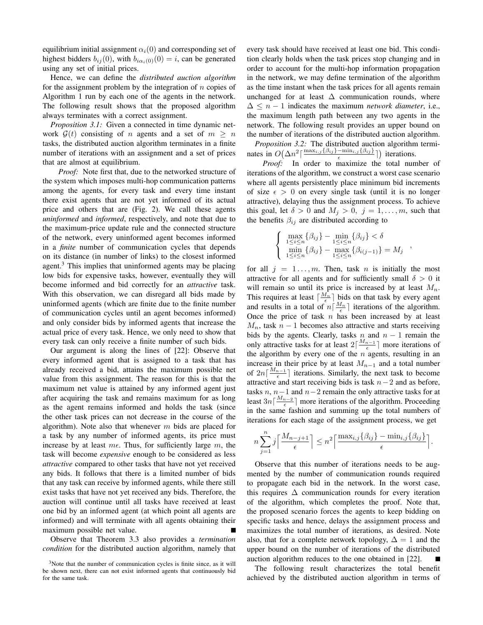equilibrium initial assignment  $\alpha_i(0)$  and corresponding set of highest bidders  $b_{ij}(0)$ , with  $b_{i\alpha_i(0)}(0) = i$ , can be generated using any set of initial prices.

Hence, we can define the *distributed auction algorithm* for the assignment problem by the integration of  $n$  copies of Algorithm 1 run by each one of the agents in the network. The following result shows that the proposed algorithm always terminates with a correct assignment.

*Proposition 3.1:* Given a connected in time dynamic network  $\mathcal{G}(t)$  consisting of n agents and a set of  $m \geq n$ tasks, the distributed auction algorithm terminates in a finite number of iterations with an assignment and a set of prices that are almost at equilibrium.

*Proof:* Note first that, due to the networked structure of the system which imposes multi-hop communication patterns among the agents, for every task and every time instant there exist agents that are not yet informed of its actual price and others that are (Fig. 2). We call these agents *uninformed* and *informed*, respectively, and note that due to the maximum-price update rule and the connected structure of the network, every uninformed agent becomes informed in a *finite* number of communication cycles that depends on its distance (in number of links) to the closest informed agent. $3$  This implies that uninformed agents may be placing low bids for expensive tasks, however, eventually they will become informed and bid correctly for an *attractive* task. With this observation, we can disregard all bids made by uninformed agents (which are finite due to the finite number of communication cycles until an agent becomes informed) and only consider bids by informed agents that increase the actual price of every task. Hence, we only need to show that every task can only receive a finite number of such bids.

Our argument is along the lines of [22]: Observe that every informed agent that is assigned to a task that has already received a bid, attains the maximum possible net value from this assignment. The reason for this is that the maximum net value is attained by any informed agent just after acquiring the task and remains maximum for as long as the agent remains informed and holds the task (since the other task prices can not decrease in the course of the algorithm). Note also that whenever  $m$  bids are placed for a task by any number of informed agents, its price must increase by at least  $m\epsilon$ . Thus, for sufficiently large m, the task will become *expensive* enough to be considered as less *attractive* compared to other tasks that have not yet received any bids. It follows that there is a limited number of bids that any task can receive by informed agents, while there still exist tasks that have not yet received any bids. Therefore, the auction will continue until all tasks have received at least one bid by an informed agent (at which point all agents are informed) and will terminate with all agents obtaining their maximum possible net value.

Observe that Theorem 3.3 also provides a *termination condition* for the distributed auction algorithm, namely that every task should have received at least one bid. This condition clearly holds when the task prices stop changing and in order to account for the multi-hop information propagation in the network, we may define termination of the algorithm as the time instant when the task prices for all agents remain unchanged for at least  $\Delta$  communication rounds, where  $\Delta \leq n-1$  indicates the maximum *network diameter*, i.e., the maximum length path between any two agents in the network. The following result provides an upper bound on the number of iterations of the distributed auction algorithm.

*Proposition 3.2:* The distributed auction algorithm terminates in  $O(\Delta n^2 \lceil \frac{\max_{i,j} {\{\beta_{ij}\}} - \min_{i,j} {\{\beta_{ij}\}}}{\epsilon} \rceil)$  iterations.

*Proof:* In order to maximize the total number of iterations of the algorithm, we construct a worst case scenario where all agents persistently place minimum bid increments of size  $\epsilon > 0$  on every single task (until it is no longer attractive), delaying thus the assignment process. To achieve this goal, let  $\delta > 0$  and  $M_i > 0$ ,  $j = 1, \ldots, m$ , such that the benefits  $\beta_{ij}$  are distributed according to

$$
\begin{cases}\n\max_{1 \le i \le n} {\beta_{ij}} - \min_{1 \le i \le n} {\beta_{ij}} < \delta \\
\min_{1 \le i \le n} {\beta_{ij}} - \max_{1 \le i \le n} {\beta_{i(j-1)}} = M_j\n\end{cases}
$$

,

for all  $j = 1, \ldots, m$ . Then, task n is initially the most attractive for all agents and for sufficiently small  $\delta > 0$  it will remain so until its price is increased by at least  $M_n$ . This requires at least  $\lceil \frac{M_n}{\epsilon} \rceil$  bids on that task by every agent and results in a total of  $n\left[\frac{M_n}{\epsilon}\right]$  iterations of the algorithm. Once the price of task  $n$  has been increased by at least  $M_n$ , task  $n - 1$  becomes also attractive and starts receiving bids by the agents. Clearly, tasks n and  $n - 1$  remain the only attractive tasks for at least  $2\lceil \frac{M_{n-1}}{\epsilon} \rceil$  more iterations of the algorithm by every one of the  $n$  agents, resulting in an increase in their price by at least  $M_{n-1}$  and a total number of  $2n\left\lceil \frac{M_{n-1}}{\epsilon} \right\rceil$  iterations. Similarly, the next task to become attractive and start receiving bids is task  $n-2$  and as before, tasks  $n, n-1$  and  $n-2$  remain the only attractive tasks for at least  $3n\left\lceil \frac{M_{n-2}}{\epsilon} \right\rceil$  more iterations of the algorithm. Proceeding in the same fashion and summing up the total numbers of iterations for each stage of the assignment process, we get

$$
n\sum_{j=1}^n j\left\lceil\frac{M_{n-j+1}}{\epsilon}\right\rceil \le n^2 \left\lceil\frac{\max_{i,j}\{\beta_{ij}\}-\min_{i,j}\{\beta_{ij}\}}{\epsilon}\right\rceil.
$$

Observe that this number of iterations needs to be augmented by the number of communication rounds required to propagate each bid in the network. In the worst case, this requires  $\Delta$  communication rounds for every iteration of the algorithm, which completes the proof. Note that, the proposed scenario forces the agents to keep bidding on specific tasks and hence, delays the assignment process and maximizes the total number of iterations, as desired. Note also, that for a complete network topology,  $\Delta = 1$  and the upper bound on the number of iterations of the distributed auction algorithm reduces to the one obtained in [22].

The following result characterizes the total benefit achieved by the distributed auction algorithm in terms of

<sup>&</sup>lt;sup>3</sup>Note that the number of communication cycles is finite since, as it will be shown next, there can not exist informed agents that continuously bid for the same task.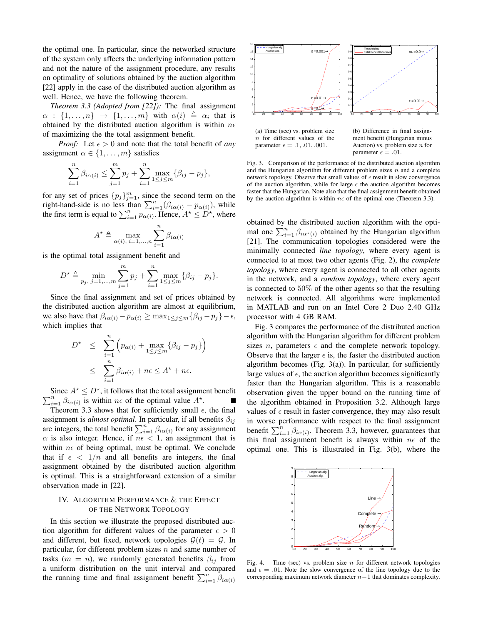the optimal one. In particular, since the networked structure of the system only affects the underlying information pattern and not the nature of the assignment procedure, any results on optimality of solutions obtained by the auction algorithm [22] apply in the case of the distributed auction algorithm as well. Hence, we have the following theorem.

*Theorem 3.3 (Adopted from [22]):* The final assignment  $\alpha$  :  $\{1, \ldots, n\}$   $\rightarrow$   $\{1, \ldots, m\}$  with  $\alpha(i) \triangleq \alpha_i$  that is obtained by the distributed auction algorithm is within  $n\epsilon$ of maximizing the the total assignment benefit.

*Proof:* Let  $\epsilon > 0$  and note that the total benefit of *any* assignment  $\alpha \in \{1, \ldots, m\}$  satisfies

$$
\sum_{i=1}^{n} \beta_{i\alpha(i)} \le \sum_{j=1}^{m} p_j + \sum_{i=1}^{n} \max_{1 \le j \le m} {\beta_{ij} - p_j},
$$

for any set of prices  $\{p_j\}_{j=1}^m$ , since the second term on the For any set of prices  $\{p_j\}_{j=1}^{\infty}$ , since the second term on the right-hand-side is no less than  $\sum_{i=1}^{n} (\beta_{i\alpha(i)} - p_{\alpha(i)})$ , while Fight-hand-side is no less than  $\sum_{i=1}^n (\beta i \alpha(i) - p_{\alpha(i)})$ , while<br>the first term is equal to  $\sum_{i=1}^n p_{\alpha(i)}$ . Hence,  $A^* \le D^*$ , where

$$
A^{\star} \triangleq \max_{\alpha(i), i=1,\dots,n} \sum_{i=1}^{n} \beta_{i\alpha(i)}
$$

is the optimal total assignment benefit and

$$
D^* \triangleq \min_{p_j, j=1,\dots,m} \sum_{j=1}^m p_j + \sum_{i=1}^n \max_{1 \le j \le m} {\beta_{ij} - p_j}.
$$

Since the final assignment and set of prices obtained by the distributed auction algorithm are almost at equilibrium, we also have that  $\beta_{i\alpha(i)} - p_{\alpha(i)} \ge \max_{1 \le j \le m} {\beta_{ij} - p_j} - \epsilon$ , which implies that

$$
D^* \leq \sum_{i=1}^n \left( p_{\alpha(i)} + \max_{1 \leq j \leq m} \{ \beta_{ij} - p_j \} \right)
$$
  
 
$$
\leq \sum_{i=1}^n \beta_{i\alpha(i)} + n\epsilon \leq A^* + n\epsilon.
$$

Since  $A^* \leq D^*$ , it follows that the total assignment benefit Since  $A^{\circ} \leq D^{\circ}$ , it follows that the total assignment  $\sum_{i=1}^{n} \beta_{i\alpha(i)}$  is within  $n\epsilon$  of the optimal value  $A^*$ .

Theorem 3.3 shows that for sufficiently small  $\epsilon$ , the final assignment is *almost optimal*. In particular, if all benefits  $\beta_{ij}$ assignment is *atmost optimal*. In particular, it all benefits  $\rho_{ij}$  are integers, the total benefit  $\sum_{i=1}^{n} \beta_{i\alpha(i)}$  for any assignment  $\alpha$  is also integer. Hence, if  $n\epsilon < 1$ , an assignment that is within  $n\epsilon$  of being optimal, must be optimal. We conclude that if  $\epsilon$  <  $1/n$  and all benefits are integers, the final assignment obtained by the distributed auction algorithm is optimal. This is a straightforward extension of a similar observation made in [22].

## IV. ALGORITHM PERFORMANCE & THE EFFECT OF THE NETWORK TOPOLOGY

In this section we illustrate the proposed distributed auction algorithm for different values of the parameter  $\epsilon > 0$ and different, but fixed, network topologies  $\mathcal{G}(t) = \mathcal{G}$ . In particular, for different problem sizes  $n$  and same number of tasks ( $m = n$ ), we randomly generated benefits  $\beta_{ij}$  from a uniform distribution on the unit interval and compared a uniform distribution on the time interval and compared<br>the running time and final assignment benefit  $\sum_{i=1}^{n} \beta_{i\alpha(i)}$ 



n for different values of the parameter  $\epsilon = .1, .01, .001$ .

(b) Difference in final assignment benefit (Hungarian minus Auction) vs. problem size  $n$  for parameter  $\epsilon = .01$ .

Fig. 3. Comparison of the performance of the distributed auction algorithm and the Hungarian algorithm for different problem sizes  $n$  and a complete network topology. Observe that small values of  $\epsilon$  result in slow convergence of the auction algorithm, while for large  $\epsilon$  the auction algorithm becomes faster that the Hungarian. Note also that the final assignment benefit obtained by the auction algorithm is within  $n \epsilon$  of the optimal one (Theorem 3.3).

obtained by the distributed auction algorithm with the optibotained by the distributed auction algorithm with the optimal one  $\sum_{i=1}^{n} \beta_{i\alpha^*(i)}$  obtained by the Hungarian algorithm [21]. The communication topologies considered were the minimally connected *line topology*, where every agent is connected to at most two other agents (Fig. 2), the *complete topology*, where every agent is connected to all other agents in the network, and a *random topology*, where every agent is connected to 50% of the other agents so that the resulting network is connected. All algorithms were implemented in MATLAB and run on an Intel Core 2 Duo 2.40 GHz processor with 4 GB RAM.

Fig. 3 compares the performance of the distributed auction algorithm with the Hungarian algorithm for different problem sizes *n*, parameters  $\epsilon$  and the complete network topology. Observe that the larger  $\epsilon$  is, the faster the distributed auction algorithm becomes (Fig.  $3(a)$ ). In particular, for sufficiently large values of  $\epsilon$ , the auction algorithm becomes significantly faster than the Hungarian algorithm. This is a reasonable observation given the upper bound on the running time of the algorithm obtained in Proposition 3.2. Although large values of  $\epsilon$  result in faster convergence, they may also result in worse performance with respect to the final assignment In worse performance with respect to the final assignment<br>benefit  $\sum_{i=1}^{n} \beta_{i\alpha(i)}$ . Theorem 3.3, however, guarantees that this final assignment benefit is always within  $n\epsilon$  of the optimal one. This is illustrated in Fig. 3(b), where the



Fig. 4. Time (sec) vs. problem size  $n$  for different network topologies and  $\epsilon = .01$ . Note the slow convergence of the line topology due to the corresponding maximum network diameter  $n-1$  that dominates complexity.